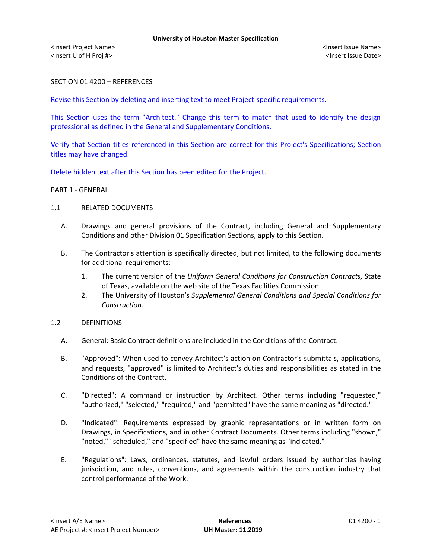<Insert Project Name> <Insert Issue Name> <Insert U of H Proj #> <Insert Issue Date>

SECTION 01 4200 – REFERENCES

Revise this Section by deleting and inserting text to meet Project-specific requirements.

This Section uses the term "Architect." Change this term to match that used to identify the design professional as defined in the General and Supplementary Conditions.

Verify that Section titles referenced in this Section are correct for this Project's Specifications; Section titles may have changed.

Delete hidden text after this Section has been edited for the Project.

## PART 1 - GENERAL

## 1.1 RELATED DOCUMENTS

- A. Drawings and general provisions of the Contract, including General and Supplementary Conditions and other Division 01 Specification Sections, apply to this Section.
- B. The Contractor's attention is specifically directed, but not limited, to the following documents for additional requirements:
	- 1. The current version of the *Uniform General Conditions for Construction Contracts*, State of Texas, available on the web site of the Texas Facilities Commission.
	- 2. The University of Houston's *Supplemental General Conditions and Special Conditions for Construction.*

## 1.2 DEFINITIONS

- A. General: Basic Contract definitions are included in the Conditions of the Contract.
- B. "Approved": When used to convey Architect's action on Contractor's submittals, applications, and requests, "approved" is limited to Architect's duties and responsibilities as stated in the Conditions of the Contract.
- C. "Directed": A command or instruction by Architect. Other terms including "requested," "authorized," "selected," "required," and "permitted" have the same meaning as "directed."
- D. "Indicated": Requirements expressed by graphic representations or in written form on Drawings, in Specifications, and in other Contract Documents. Other terms including "shown," "noted," "scheduled," and "specified" have the same meaning as "indicated."
- E. "Regulations": Laws, ordinances, statutes, and lawful orders issued by authorities having jurisdiction, and rules, conventions, and agreements within the construction industry that control performance of the Work.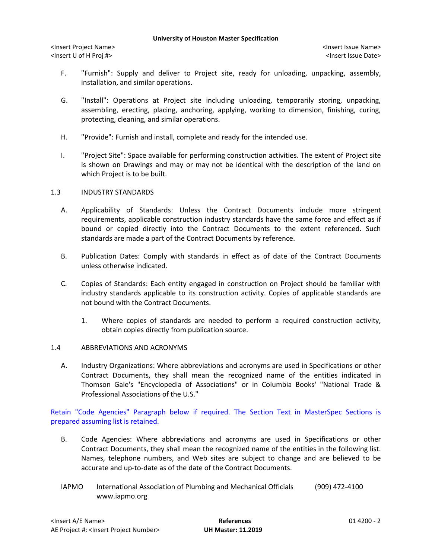#### **University of Houston Master Specification**

<Insert Project Name> <Insert Issue Name> <Insert U of H Proj #> <Insert Issue Date>

- F. "Furnish": Supply and deliver to Project site, ready for unloading, unpacking, assembly, installation, and similar operations.
- G. "Install": Operations at Project site including unloading, temporarily storing, unpacking, assembling, erecting, placing, anchoring, applying, working to dimension, finishing, curing, protecting, cleaning, and similar operations.
- H. "Provide": Furnish and install, complete and ready for the intended use.
- I. "Project Site": Space available for performing construction activities. The extent of Project site is shown on Drawings and may or may not be identical with the description of the land on which Project is to be built.

## 1.3 INDUSTRY STANDARDS

- A. Applicability of Standards: Unless the Contract Documents include more stringent requirements, applicable construction industry standards have the same force and effect as if bound or copied directly into the Contract Documents to the extent referenced. Such standards are made a part of the Contract Documents by reference.
- B. Publication Dates: Comply with standards in effect as of date of the Contract Documents unless otherwise indicated.
- C. Copies of Standards: Each entity engaged in construction on Project should be familiar with industry standards applicable to its construction activity. Copies of applicable standards are not bound with the Contract Documents.
	- 1. Where copies of standards are needed to perform a required construction activity, obtain copies directly from publication source.

# 1.4 ABBREVIATIONS AND ACRONYMS

A. Industry Organizations: Where abbreviations and acronyms are used in Specifications or other Contract Documents, they shall mean the recognized name of the entities indicated in Thomson Gale's "Encyclopedia of Associations" or in Columbia Books' "National Trade & Professional Associations of the U.S."

Retain "Code Agencies" Paragraph below if required. The Section Text in MasterSpec Sections is prepared assuming list is retained.

- B. Code Agencies: Where abbreviations and acronyms are used in Specifications or other Contract Documents, they shall mean the recognized name of the entities in the following list. Names, telephone numbers, and Web sites are subject to change and are believed to be accurate and up-to-date as of the date of the Contract Documents.
- IAPMO International Association of Plumbing and Mechanical Officials (909) 472-4100 www.iapmo.org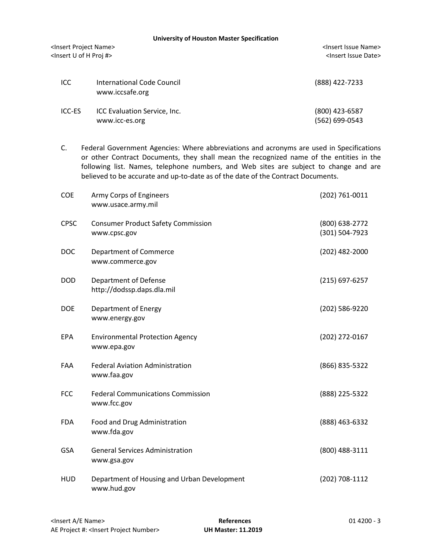**University of Houston Master Specification**

<Insert Project Name> <Insert Issue Name> <Insert U of H Proj #> <Insert Issue Date>

| ICC    | International Code Council<br>www.iccsafe.org  | (888) 422-7233                   |
|--------|------------------------------------------------|----------------------------------|
| ICC-ES | ICC Evaluation Service, Inc.<br>www.icc-es.org | (800) 423-6587<br>(562) 699-0543 |

C. Federal Government Agencies: Where abbreviations and acronyms are used in Specifications or other Contract Documents, they shall mean the recognized name of the entities in the following list. Names, telephone numbers, and Web sites are subject to change and are believed to be accurate and up-to-date as of the date of the Contract Documents.

| COE         | Army Corps of Engineers<br>www.usace.army.mil              | (202) 761-0011                   |
|-------------|------------------------------------------------------------|----------------------------------|
| <b>CPSC</b> | <b>Consumer Product Safety Commission</b><br>www.cpsc.gov  | (800) 638-2772<br>(301) 504-7923 |
| <b>DOC</b>  | Department of Commerce<br>www.commerce.gov                 | (202) 482-2000                   |
| <b>DOD</b>  | <b>Department of Defense</b><br>http://dodssp.daps.dla.mil | (215) 697-6257                   |
| <b>DOE</b>  | Department of Energy<br>www.energy.gov                     | (202) 586-9220                   |
| <b>EPA</b>  | <b>Environmental Protection Agency</b><br>www.epa.gov      | (202) 272-0167                   |
| <b>FAA</b>  | <b>Federal Aviation Administration</b><br>www.faa.gov      | (866) 835-5322                   |
| <b>FCC</b>  | <b>Federal Communications Commission</b><br>www.fcc.gov    | (888) 225-5322                   |
| <b>FDA</b>  | Food and Drug Administration<br>www.fda.gov                | (888) 463-6332                   |
| <b>GSA</b>  | <b>General Services Administration</b><br>www.gsa.gov      | (800) 488-3111                   |
| <b>HUD</b>  | Department of Housing and Urban Development<br>www.hud.gov | (202) 708-1112                   |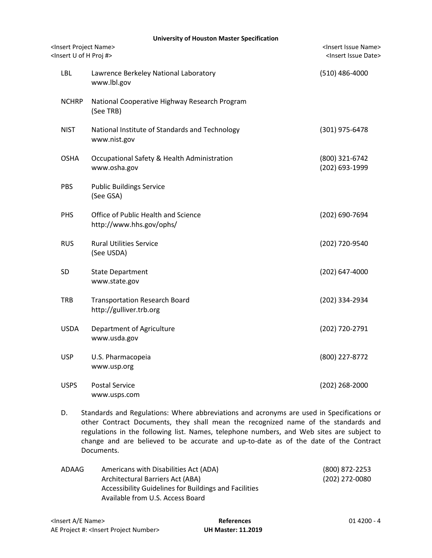| <b>University of Houston Master Specification</b>                                       |                                                                           |                                  |  |  |  |  |
|-----------------------------------------------------------------------------------------|---------------------------------------------------------------------------|----------------------------------|--|--|--|--|
| <insert name="" project=""><br/><insert #="" h="" of="" proj="" u=""></insert></insert> | <insert issue="" name=""><br/><insert date="" issue=""></insert></insert> |                                  |  |  |  |  |
| LBL                                                                                     | Lawrence Berkeley National Laboratory<br>www.lbl.gov                      | $(510)$ 486-4000                 |  |  |  |  |
| <b>NCHRP</b>                                                                            | National Cooperative Highway Research Program<br>(See TRB)                |                                  |  |  |  |  |
| <b>NIST</b>                                                                             | National Institute of Standards and Technology<br>www.nist.gov            | (301) 975-6478                   |  |  |  |  |
| <b>OSHA</b>                                                                             | Occupational Safety & Health Administration<br>www.osha.gov               | (800) 321-6742<br>(202) 693-1999 |  |  |  |  |
| PBS                                                                                     | <b>Public Buildings Service</b><br>(See GSA)                              |                                  |  |  |  |  |
| PHS                                                                                     | Office of Public Health and Science<br>http://www.hhs.gov/ophs/           | (202) 690-7694                   |  |  |  |  |
| <b>RUS</b>                                                                              | <b>Rural Utilities Service</b><br>(See USDA)                              | (202) 720-9540                   |  |  |  |  |
| SD                                                                                      | <b>State Department</b><br>www.state.gov                                  | $(202)$ 647-4000                 |  |  |  |  |
| <b>TRB</b>                                                                              | <b>Transportation Research Board</b><br>http://gulliver.trb.org           | (202) 334-2934                   |  |  |  |  |
| <b>USDA</b>                                                                             | Department of Agriculture<br>www.usda.gov                                 | (202) 720-2791                   |  |  |  |  |
| <b>USP</b>                                                                              | U.S. Pharmacopeia<br>www.usp.org                                          | (800) 227-8772                   |  |  |  |  |
| <b>USPS</b>                                                                             | <b>Postal Service</b><br>www.usps.com                                     | $(202)$ 268-2000                 |  |  |  |  |

D. Standards and Regulations: Where abbreviations and acronyms are used in Specifications or other Contract Documents, they shall mean the recognized name of the standards and regulations in the following list. Names, telephone numbers, and Web sites are subject to change and are believed to be accurate and up-to-date as of the date of the Contract Documents.

| ADAAG | Americans with Disabilities Act (ADA)                 | (800) 872-2253 |
|-------|-------------------------------------------------------|----------------|
|       | Architectural Barriers Act (ABA)                      | (202) 272-0080 |
|       | Accessibility Guidelines for Buildings and Facilities |                |
|       | Available from U.S. Access Board                      |                |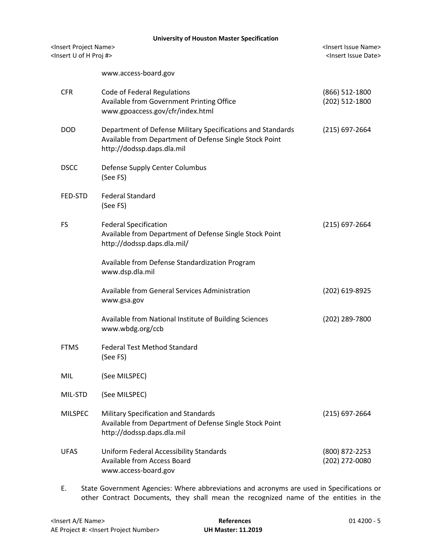|                                                                                         | <b>University of Houston Master Specification</b> |                                                                                                                                                      |                                                                           |  |  |
|-----------------------------------------------------------------------------------------|---------------------------------------------------|------------------------------------------------------------------------------------------------------------------------------------------------------|---------------------------------------------------------------------------|--|--|
| <insert name="" project=""><br/><insert #="" h="" of="" proj="" u=""></insert></insert> |                                                   |                                                                                                                                                      | <insert issue="" name=""><br/><insert date="" issue=""></insert></insert> |  |  |
|                                                                                         |                                                   | www.access-board.gov                                                                                                                                 |                                                                           |  |  |
|                                                                                         | <b>CFR</b>                                        | Code of Federal Regulations<br>Available from Government Printing Office<br>www.gpoaccess.gov/cfr/index.html                                         | (866) 512-1800<br>(202) 512-1800                                          |  |  |
|                                                                                         | <b>DOD</b>                                        | Department of Defense Military Specifications and Standards<br>Available from Department of Defense Single Stock Point<br>http://dodssp.daps.dla.mil | $(215)$ 697-2664                                                          |  |  |
|                                                                                         | <b>DSCC</b>                                       | Defense Supply Center Columbus<br>(See FS)                                                                                                           |                                                                           |  |  |
|                                                                                         | FED-STD                                           | <b>Federal Standard</b><br>(See FS)                                                                                                                  |                                                                           |  |  |
|                                                                                         | FS                                                | <b>Federal Specification</b><br>Available from Department of Defense Single Stock Point<br>http://dodssp.daps.dla.mil/                               | $(215)$ 697-2664                                                          |  |  |
|                                                                                         |                                                   | Available from Defense Standardization Program<br>www.dsp.dla.mil                                                                                    |                                                                           |  |  |
|                                                                                         |                                                   | Available from General Services Administration<br>www.gsa.gov                                                                                        | (202) 619-8925                                                            |  |  |
|                                                                                         |                                                   | Available from National Institute of Building Sciences<br>www.wbdg.org/ccb                                                                           | (202) 289-7800                                                            |  |  |
|                                                                                         | <b>FTMS</b>                                       | <b>Federal Test Method Standard</b><br>(See FS)                                                                                                      |                                                                           |  |  |
|                                                                                         | MIL                                               | (See MILSPEC)                                                                                                                                        |                                                                           |  |  |
|                                                                                         | MIL-STD                                           | (See MILSPEC)                                                                                                                                        |                                                                           |  |  |
|                                                                                         | <b>MILSPEC</b>                                    | Military Specification and Standards<br>Available from Department of Defense Single Stock Point<br>http://dodssp.daps.dla.mil                        | $(215) 697 - 2664$                                                        |  |  |
|                                                                                         | <b>UFAS</b>                                       | Uniform Federal Accessibility Standards<br><b>Available from Access Board</b><br>www.access-board.gov                                                | (800) 872-2253<br>(202) 272-0080                                          |  |  |
|                                                                                         |                                                   |                                                                                                                                                      |                                                                           |  |  |

E. State Government Agencies: Where abbreviations and acronyms are used in Specifications or other Contract Documents, they shall mean the recognized name of the entities in the